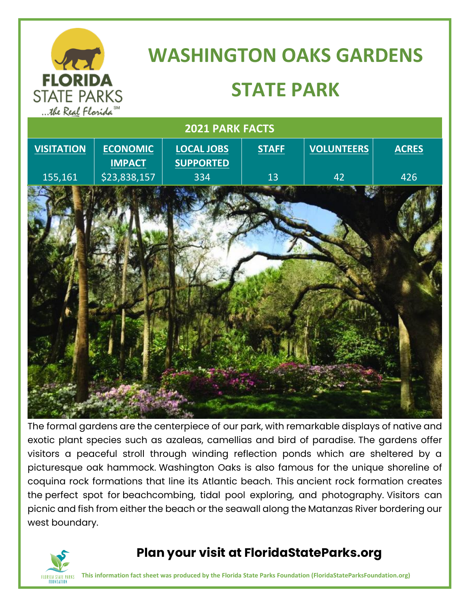

# **WASHINGTON OAKS GARDENS**

### **STATE PARK**



The formal gardens are the centerpiece of our park, with remarkable displays of native and exotic plant species such as azaleas, camellias and bird of paradise. The gardens offer visitors a peaceful stroll through winding reflection ponds which are sheltered by a picturesque oak hammock. Washington Oaks is also famous for the unique shoreline of coquina rock formations that line its Atlantic beach. This ancient rock formation creates the perfect spot for beachcombing, tidal pool exploring, and photography. Visitors can picnic and fish from either the beach or the seawall along the Matanzas River bordering our west boundary.



#### **Plan your visit at FloridaStateParks.org**

**This information fact sheet was produced by the Florida State Parks Foundation (FloridaStateParksFoundation.org)**